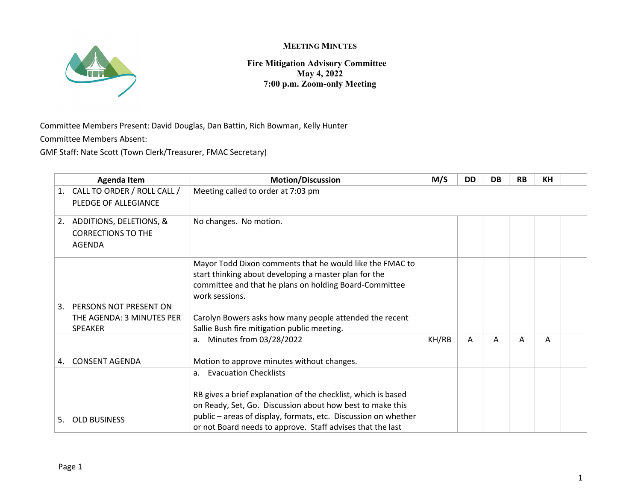

**Fire Mitigation Advisory Committee May 4, 2022 7:00 p.m. Zoom-only Meeting**

Committee Members Present: David Douglas, Dan Battin, Rich Bowman, Kelly Hunter Committee Members Absent:

GMF Staff: Nate Scott (Town Clerk/Treasurer, FMAC Secretary)

|    | <b>Agenda Item</b>          | <b>Motion/Discussion</b>                                       | M/S   | DD | <b>DB</b> | <b>RB</b> | <b>KH</b> |  |
|----|-----------------------------|----------------------------------------------------------------|-------|----|-----------|-----------|-----------|--|
| 1. | CALL TO ORDER / ROLL CALL / | Meeting called to order at 7:03 pm                             |       |    |           |           |           |  |
|    | PLEDGE OF ALLEGIANCE        |                                                                |       |    |           |           |           |  |
| 2. | ADDITIONS, DELETIONS, &     | No changes. No motion.                                         |       |    |           |           |           |  |
|    | <b>CORRECTIONS TO THE</b>   |                                                                |       |    |           |           |           |  |
|    | <b>AGENDA</b>               |                                                                |       |    |           |           |           |  |
|    |                             | Mayor Todd Dixon comments that he would like the FMAC to       |       |    |           |           |           |  |
|    |                             | start thinking about developing a master plan for the          |       |    |           |           |           |  |
|    |                             | committee and that he plans on holding Board-Committee         |       |    |           |           |           |  |
|    |                             | work sessions.                                                 |       |    |           |           |           |  |
| 3. | PERSONS NOT PRESENT ON      |                                                                |       |    |           |           |           |  |
|    | THE AGENDA: 3 MINUTES PER   | Carolyn Bowers asks how many people attended the recent        |       |    |           |           |           |  |
|    | <b>SPEAKER</b>              | Sallie Bush fire mitigation public meeting.                    |       |    |           |           |           |  |
|    |                             | Minutes from 03/28/2022<br>а.                                  | KH/RB | Α  | A         | A         | A         |  |
| 4. | <b>CONSENT AGENDA</b>       | Motion to approve minutes without changes.                     |       |    |           |           |           |  |
|    |                             | <b>Evacuation Checklists</b><br>a.                             |       |    |           |           |           |  |
|    |                             | RB gives a brief explanation of the checklist, which is based  |       |    |           |           |           |  |
|    |                             | on Ready, Set, Go. Discussion about how best to make this      |       |    |           |           |           |  |
| 5. | <b>OLD BUSINESS</b>         | public – areas of display, formats, etc. Discussion on whether |       |    |           |           |           |  |
|    |                             | or not Board needs to approve. Staff advises that the last     |       |    |           |           |           |  |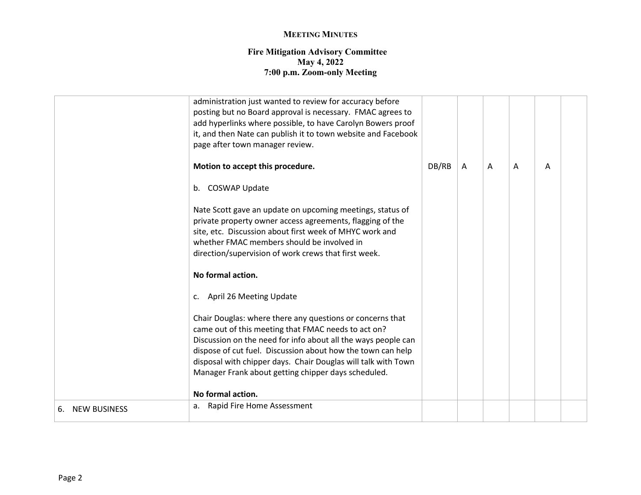#### **Fire Mitigation Advisory Committee May 4, 2022 7:00 p.m. Zoom-only Meeting**

|                           | administration just wanted to review for accuracy before<br>posting but no Board approval is necessary. FMAC agrees to<br>add hyperlinks where possible, to have Carolyn Bowers proof<br>it, and then Nate can publish it to town website and Facebook<br>page after town manager review.                                                                                |       |              |   |   |   |  |
|---------------------------|--------------------------------------------------------------------------------------------------------------------------------------------------------------------------------------------------------------------------------------------------------------------------------------------------------------------------------------------------------------------------|-------|--------------|---|---|---|--|
|                           | Motion to accept this procedure.                                                                                                                                                                                                                                                                                                                                         | DB/RB | $\mathsf{A}$ | A | A | A |  |
|                           | b. COSWAP Update                                                                                                                                                                                                                                                                                                                                                         |       |              |   |   |   |  |
|                           | Nate Scott gave an update on upcoming meetings, status of<br>private property owner access agreements, flagging of the<br>site, etc. Discussion about first week of MHYC work and<br>whether FMAC members should be involved in<br>direction/supervision of work crews that first week.                                                                                  |       |              |   |   |   |  |
|                           | No formal action.                                                                                                                                                                                                                                                                                                                                                        |       |              |   |   |   |  |
|                           | c. April 26 Meeting Update                                                                                                                                                                                                                                                                                                                                               |       |              |   |   |   |  |
|                           | Chair Douglas: where there any questions or concerns that<br>came out of this meeting that FMAC needs to act on?<br>Discussion on the need for info about all the ways people can<br>dispose of cut fuel. Discussion about how the town can help<br>disposal with chipper days. Chair Douglas will talk with Town<br>Manager Frank about getting chipper days scheduled. |       |              |   |   |   |  |
|                           | No formal action.                                                                                                                                                                                                                                                                                                                                                        |       |              |   |   |   |  |
| <b>NEW BUSINESS</b><br>6. | Rapid Fire Home Assessment<br>a.                                                                                                                                                                                                                                                                                                                                         |       |              |   |   |   |  |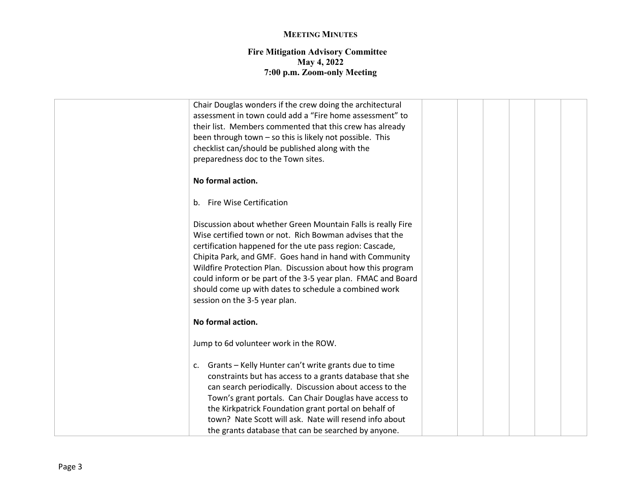#### **Fire Mitigation Advisory Committee May 4, 2022 7:00 p.m. Zoom-only Meeting**

| Chair Douglas wonders if the crew doing the architectural    |  |  |
|--------------------------------------------------------------|--|--|
| assessment in town could add a "Fire home assessment" to     |  |  |
| their list. Members commented that this crew has already     |  |  |
| been through town - so this is likely not possible. This     |  |  |
| checklist can/should be published along with the             |  |  |
| preparedness doc to the Town sites.                          |  |  |
| No formal action.                                            |  |  |
| b. Fire Wise Certification                                   |  |  |
| Discussion about whether Green Mountain Falls is really Fire |  |  |
| Wise certified town or not. Rich Bowman advises that the     |  |  |
| certification happened for the ute pass region: Cascade,     |  |  |
| Chipita Park, and GMF. Goes hand in hand with Community      |  |  |
| Wildfire Protection Plan. Discussion about how this program  |  |  |
| could inform or be part of the 3-5 year plan. FMAC and Board |  |  |
| should come up with dates to schedule a combined work        |  |  |
| session on the 3-5 year plan.                                |  |  |
|                                                              |  |  |
| No formal action.                                            |  |  |
| Jump to 6d volunteer work in the ROW.                        |  |  |
| Grants - Kelly Hunter can't write grants due to time<br>c.   |  |  |
| constraints but has access to a grants database that she     |  |  |
| can search periodically. Discussion about access to the      |  |  |
| Town's grant portals. Can Chair Douglas have access to       |  |  |
| the Kirkpatrick Foundation grant portal on behalf of         |  |  |
| town? Nate Scott will ask. Nate will resend info about       |  |  |
| the grants database that can be searched by anyone.          |  |  |
|                                                              |  |  |